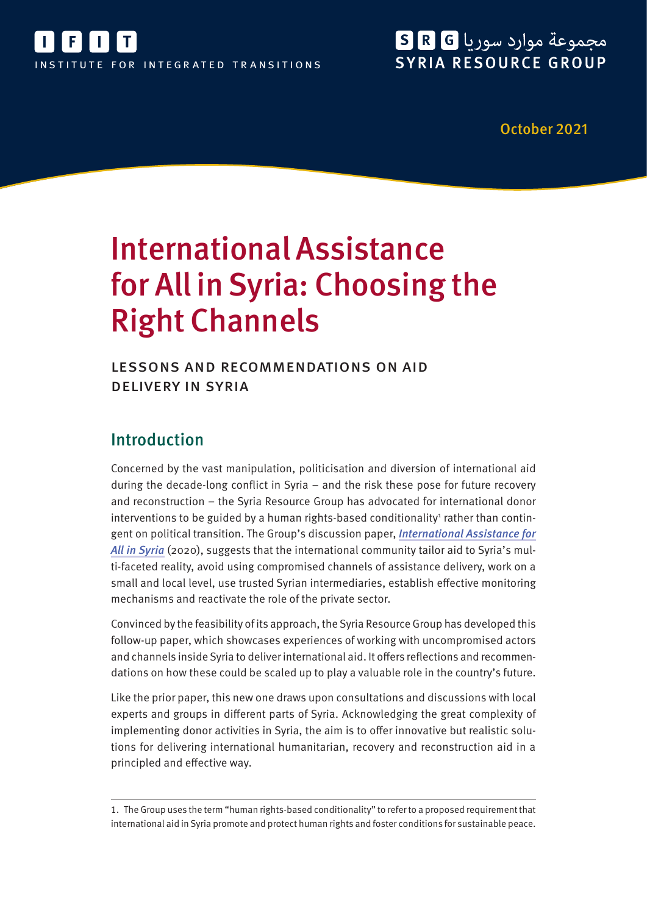

# مجموعة موارد سوريا R G SYRIA RESOURCE GROUP

October 2021

# International Assistance for All in Syria: Choosing the Right Channels

lessons and recommendations on aid delivery in syria

# Introduction

Concerned by the vast manipulation, politicisation and diversion of international aid during the decade-long conflict in Syria – and the risk these pose for future recovery and reconstruction – the Syria Resource Group has advocated for international donor interventions to be guided by a human rights-based conditionality<sup>1</sup> rather than contingent on political transition. The Group's discussion paper, [International Assistance for](https://ifit-transitions.org/wp-content/uploads/2021/10/srg-international-assistance-for-all-in-syria.pdf) [All in Syria](https://ifit-transitions.org/wp-content/uploads/2021/10/srg-international-assistance-for-all-in-syria.pdf) (2020), suggests that the international community tailor aid to Syria's multi-faceted reality, avoid using compromised channels of assistance delivery, work on a small and local level, use trusted Syrian intermediaries, establish effective monitoring mechanisms and reactivate the role of the private sector.

Convinced by the feasibility of its approach, the Syria Resource Group has developed this follow-up paper, which showcases experiences of working with uncompromised actors and channels inside Syria to deliver international aid. It offers reflections and recommendations on how these could be scaled up to play a valuable role in the country's future.

Like the prior paper, this new one draws upon consultations and discussions with local experts and groups in different parts of Syria. Acknowledging the great complexity of implementing donor activities in Syria, the aim is to offer innovative but realistic solutions for delivering international humanitarian, recovery and reconstruction aid in a principled and effective way.

<sup>1.</sup> The Group uses the term "human rights-based conditionality" to refer to a proposed requirement that international aid in Syria promote and protect human rights and foster conditions for sustainable peace.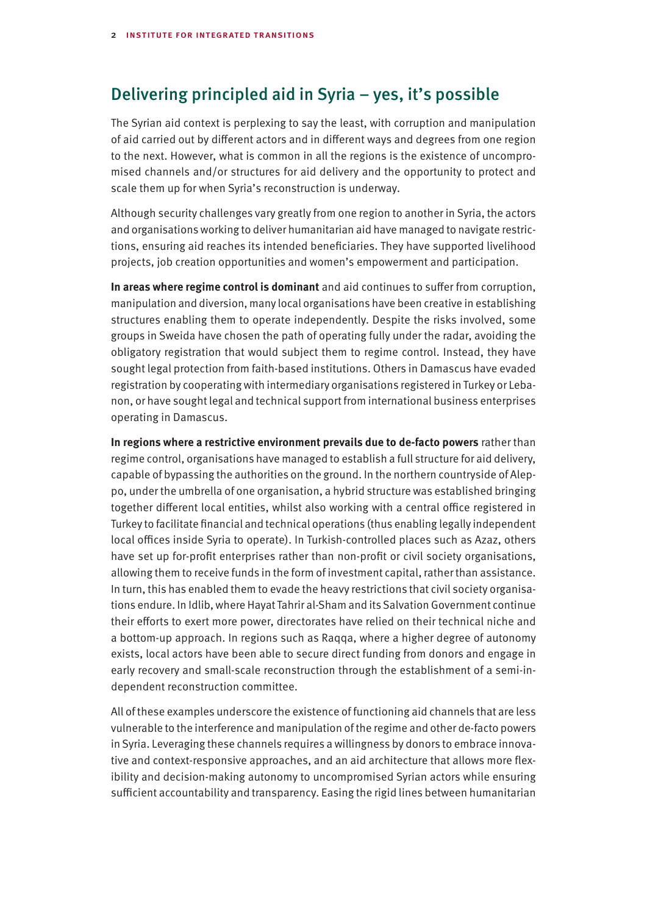## Delivering principled aid in Syria – yes, it's possible

The Syrian aid context is perplexing to say the least, with corruption and manipulation of aid carried out by different actors and in different ways and degrees from one region to the next. However, what is common in all the regions is the existence of uncompromised channels and/or structures for aid delivery and the opportunity to protect and scale them up for when Syria's reconstruction is underway.

Although security challenges vary greatly from one region to another in Syria, the actors and organisations working to deliver humanitarian aid have managed to navigate restrictions, ensuring aid reaches its intended beneficiaries. They have supported livelihood projects, job creation opportunities and women's empowerment and participation.

**In areas where regime control is dominant** and aid continues to suffer from corruption, manipulation and diversion, many local organisations have been creative in establishing structures enabling them to operate independently. Despite the risks involved, some groups in Sweida have chosen the path of operating fully under the radar, avoiding the obligatory registration that would subject them to regime control. Instead, they have sought legal protection from faith-based institutions. Others in Damascus have evaded registration by cooperating with intermediary organisations registered in Turkey or Lebanon, or have sought legal and technical support from international business enterprises operating in Damascus.

**In regions where a restrictive environment prevails due to de-facto powers** rather than regime control, organisations have managed to establish a full structure for aid delivery, capable of bypassing the authorities on the ground. In the northern countryside of Aleppo, under the umbrella of one organisation, a hybrid structure was established bringing together different local entities, whilst also working with a central office registered in Turkey to facilitate financial and technical operations (thus enabling legally independent local offices inside Syria to operate). In Turkish-controlled places such as Azaz, others have set up for-profit enterprises rather than non-profit or civil society organisations, allowing them to receive funds in the form of investment capital, rather than assistance. In turn, this has enabled them to evade the heavy restrictions that civil society organisations endure. In Idlib, where Hayat Tahrir al-Sham and its Salvation Government continue their efforts to exert more power, directorates have relied on their technical niche and a bottom-up approach. In regions such as Raqqa, where a higher degree of autonomy exists, local actors have been able to secure direct funding from donors and engage in early recovery and small-scale reconstruction through the establishment of a semi-independent reconstruction committee.

All of these examples underscore the existence of functioning aid channels that are less vulnerable to the interference and manipulation of the regime and other de-facto powers in Syria. Leveraging these channels requires a willingness by donors to embrace innovative and context-responsive approaches, and an aid architecture that allows more flexibility and decision-making autonomy to uncompromised Syrian actors while ensuring sufficient accountability and transparency. Easing the rigid lines between humanitarian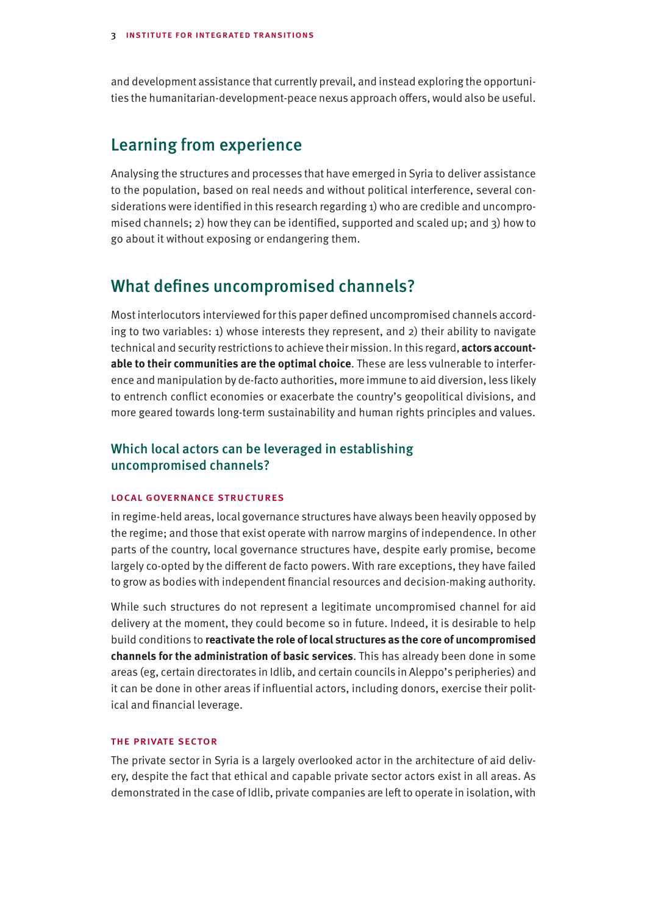and development assistance that currently prevail, and instead exploring the opportunities the humanitarian-development-peace nexus approach offers, would also be useful.

## Learning from experience

Analysing the structures and processes that have emerged in Syria to deliver assistance to the population, based on real needs and without political interference, several considerations were identified in this research regarding 1) who are credible and uncompromised channels; 2) how they can be identified, supported and scaled up; and 3) how to go about it without exposing or endangering them.

## What defines uncompromised channels?

Most interlocutors interviewed for this paper defined uncompromised channels according to two variables: 1) whose interests they represent, and 2) their ability to navigate technical and security restrictions to achieve their mission. In this regard, **actors accountable to their communities are the optimal choice**. These are less vulnerable to interference and manipulation by de-facto authorities, more immune to aid diversion, less likely to entrench conflict economies or exacerbate the country's geopolitical divisions, and more geared towards long-term sustainability and human rights principles and values.

## Which local actors can be leveraged in establishing uncompromised channels?

#### local governance structures

in regime-held areas, local governance structures have always been heavily opposed by the regime; and those that exist operate with narrow margins of independence. In other parts of the country, local governance structures have, despite early promise, become largely co-opted by the different de facto powers. With rare exceptions, they have failed to grow as bodies with independent financial resources and decision-making authority.

While such structures do not represent a legitimate uncompromised channel for aid delivery at the moment, they could become so in future. Indeed, it is desirable to help build conditions to **reactivate the role of local structures as the core of uncompromised channels for the administration of basic services**. This has already been done in some areas (eg, certain directorates in Idlib, and certain councils in Aleppo's peripheries) and it can be done in other areas if influential actors, including donors, exercise their political and financial leverage.

#### the private sector

The private sector in Syria is a largely overlooked actor in the architecture of aid delivery, despite the fact that ethical and capable private sector actors exist in all areas. As demonstrated in the case of Idlib, private companies are left to operate in isolation, with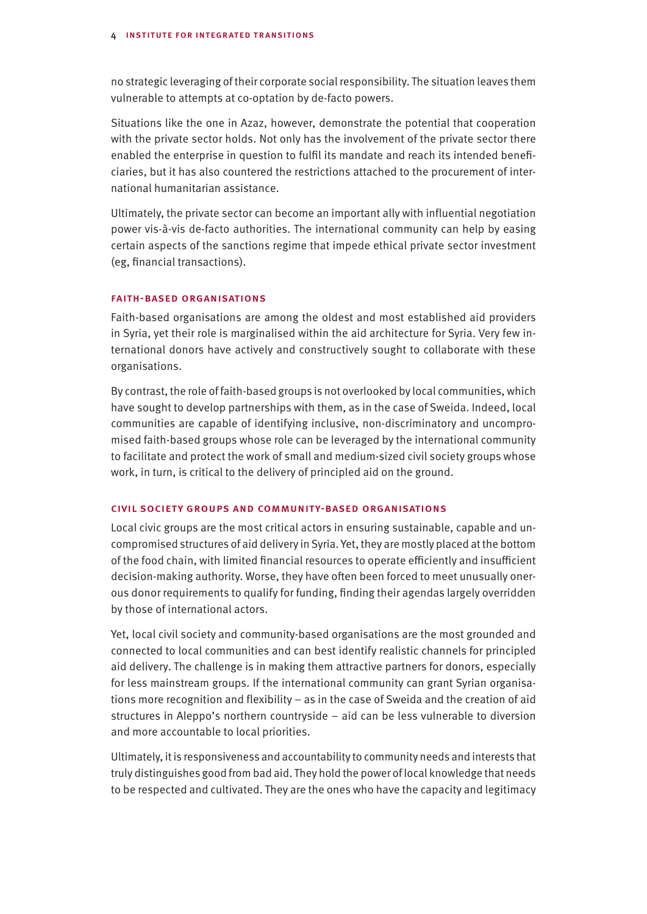no strategic leveraging of their corporate social responsibility. The situation leaves them vulnerable to attempts at co-optation by de-facto powers.

Situations like the one in Azaz, however, demonstrate the potential that cooperation with the private sector holds. Not only has the involvement of the private sector there enabled the enterprise in question to fulfil its mandate and reach its intended beneficiaries, but it has also countered the restrictions attached to the procurement of international humanitarian assistance.

Ultimately, the private sector can become an important ally with influential negotiation power vis-à-vis de-facto authorities. The international community can help by easing certain aspects of the sanctions regime that impede ethical private sector investment (eg, financial transactions).

#### faith-based organisations

Faith-based organisations are among the oldest and most established aid providers in Syria, yet their role is marginalised within the aid architecture for Syria. Very few international donors have actively and constructively sought to collaborate with these organisations.

By contrast, the role of faith-based groups is not overlooked by local communities, which have sought to develop partnerships with them, as in the case of Sweida. Indeed, local communities are capable of identifying inclusive, non-discriminatory and uncompromised faith-based groups whose role can be leveraged by the international community to facilitate and protect the work of small and medium-sized civil society groups whose work, in turn, is critical to the delivery of principled aid on the ground.

#### civil society groups and community-based organisations

Local civic groups are the most critical actors in ensuring sustainable, capable and uncompromised structures of aid delivery in Syria. Yet, they are mostly placed at the bottom of the food chain, with limited financial resources to operate efficiently and insufficient decision-making authority. Worse, they have often been forced to meet unusually onerous donor requirements to qualify for funding, finding their agendas largely overridden by those of international actors.

Yet, local civil society and community-based organisations are the most grounded and connected to local communities and can best identify realistic channels for principled aid delivery. The challenge is in making them attractive partners for donors, especially for less mainstream groups. If the international community can grant Syrian organisations more recognition and flexibility – as in the case of Sweida and the creation of aid structures in Aleppo's northern countryside – aid can be less vulnerable to diversion and more accountable to local priorities.

Ultimately, it is responsiveness and accountability to community needs and interests that truly distinguishes good from bad aid. They hold the power of local knowledge that needs to be respected and cultivated. They are the ones who have the capacity and legitimacy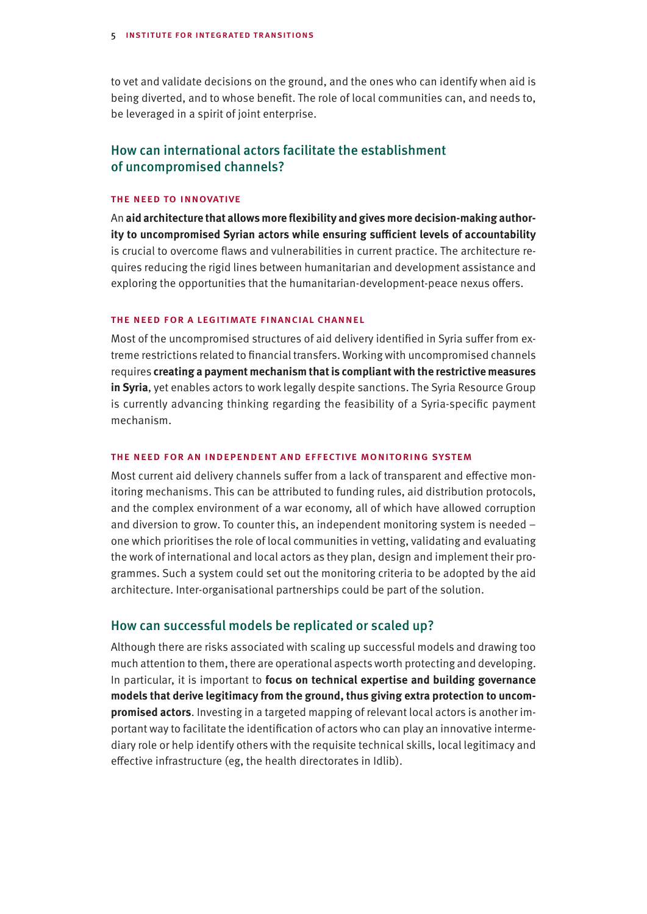to vet and validate decisions on the ground, and the ones who can identify when aid is being diverted, and to whose benefit. The role of local communities can, and needs to, be leveraged in a spirit of joint enterprise.

## How can international actors facilitate the establishment of uncompromised channels?

#### the need to innovative

An **aid architecture that allows more flexibility and gives more decision-making authority to uncompromised Syrian actors while ensuring sufficient levels of accountability** is crucial to overcome flaws and vulnerabilities in current practice. The architecture requires reducing the rigid lines between humanitarian and development assistance and exploring the opportunities that the humanitarian-development-peace nexus offers.

#### the need for a legitimate financial channel

Most of the uncompromised structures of aid delivery identified in Syria suffer from extreme restrictions related to financial transfers. Working with uncompromised channels requires **creating a payment mechanism that is compliant with the restrictive measures in Syria**, yet enables actors to work legally despite sanctions. The Syria Resource Group is currently advancing thinking regarding the feasibility of a Syria-specific payment mechanism.

#### the need for an independent and effective monitoring system

Most current aid delivery channels suffer from a lack of transparent and effective monitoring mechanisms. This can be attributed to funding rules, aid distribution protocols, and the complex environment of a war economy, all of which have allowed corruption and diversion to grow. To counter this, an independent monitoring system is needed – one which prioritises the role of local communities in vetting, validating and evaluating the work of international and local actors as they plan, design and implement their programmes. Such a system could set out the monitoring criteria to be adopted by the aid architecture. Inter-organisational partnerships could be part of the solution.

### How can successful models be replicated or scaled up?

Although there are risks associated with scaling up successful models and drawing too much attention to them, there are operational aspects worth protecting and developing. In particular, it is important to **focus on technical expertise and building governance models that derive legitimacy from the ground, thus giving extra protection to uncompromised actors**. Investing in a targeted mapping of relevant local actors is another important way to facilitate the identification of actors who can play an innovative intermediary role or help identify others with the requisite technical skills, local legitimacy and effective infrastructure (eg, the health directorates in Idlib).